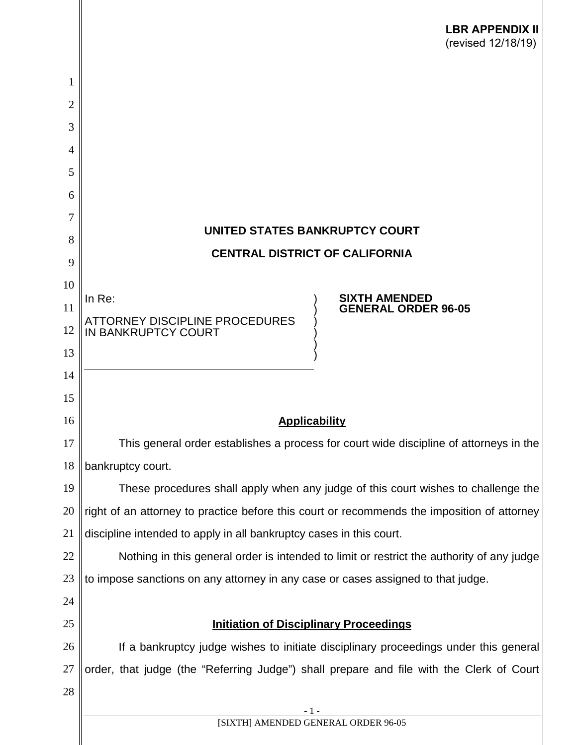|                | <b>LBR APPENDIX II</b><br>(revised 12/18/19)                                                |
|----------------|---------------------------------------------------------------------------------------------|
| 1              |                                                                                             |
| $\overline{2}$ |                                                                                             |
| 3              |                                                                                             |
| 4              |                                                                                             |
| 5              |                                                                                             |
| 6              |                                                                                             |
| 7              | UNITED STATES BANKRUPTCY COURT                                                              |
| 8              | <b>CENTRAL DISTRICT OF CALIFORNIA</b>                                                       |
| 9              |                                                                                             |
| 10             | <b>SIXTH AMENDED</b><br>In $Re:$                                                            |
| 11             | <b>GENERAL ORDER 96-05</b><br><b>ATTORNEY DISCIPLINE PROCEDURES</b>                         |
| 12<br>13       | IN BANKRUPTCY COURT                                                                         |
| 14             |                                                                                             |
| 15             |                                                                                             |
| 16             | <b>Applicability</b>                                                                        |
| 17             | This general order establishes a process for court wide discipline of attorneys in the      |
| 18             | bankruptcy court.                                                                           |
| 19             | These procedures shall apply when any judge of this court wishes to challenge the           |
| 20             | right of an attorney to practice before this court or recommends the imposition of attorney |
| 21             | discipline intended to apply in all bankruptcy cases in this court.                         |
| 22             | Nothing in this general order is intended to limit or restrict the authority of any judge   |
| 23             | to impose sanctions on any attorney in any case or cases assigned to that judge.            |
| 24             |                                                                                             |
| 25             | <b>Initiation of Disciplinary Proceedings</b>                                               |
| 26             | If a bankruptcy judge wishes to initiate disciplinary proceedings under this general        |
| 27             | order, that judge (the "Referring Judge") shall prepare and file with the Clerk of Court    |
| 28             |                                                                                             |
|                | - 1 -<br>[SIXTH] AMENDED GENERAL ORDER 96-05                                                |
|                |                                                                                             |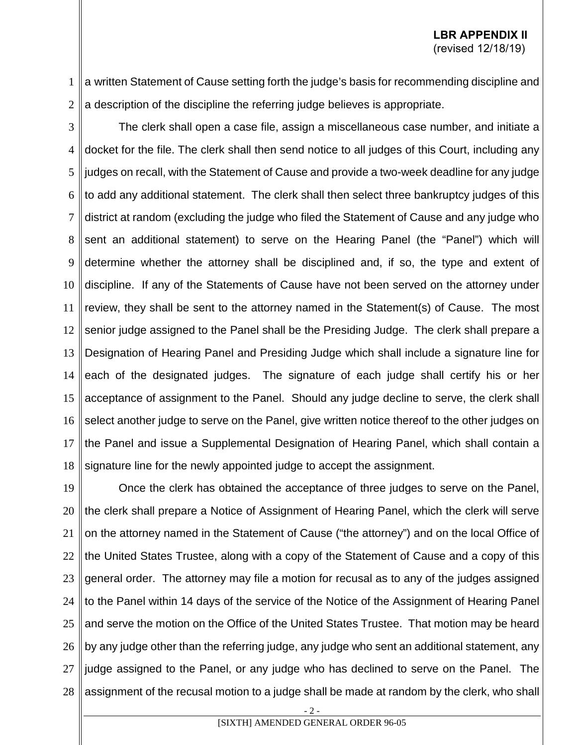- 1 2 a written Statement of Cause setting forth the judge's basis for recommending discipline and a description of the discipline the referring judge believes is appropriate.
- 

3 4 5 6 7 8 9 10 11 12 13 14 15 16 17 18 The clerk shall open a case file, assign a miscellaneous case number, and initiate a docket for the file. The clerk shall then send notice to all judges of this Court, including any judges on recall, with the Statement of Cause and provide a two-week deadline for any judge to add any additional statement. The clerk shall then select three bankruptcy judges of this district at random (excluding the judge who filed the Statement of Cause and any judge who sent an additional statement) to serve on the Hearing Panel (the "Panel") which will determine whether the attorney shall be disciplined and, if so, the type and extent of discipline. If any of the Statements of Cause have not been served on the attorney under review, they shall be sent to the attorney named in the Statement(s) of Cause. The most senior judge assigned to the Panel shall be the Presiding Judge. The clerk shall prepare a Designation of Hearing Panel and Presiding Judge which shall include a signature line for each of the designated judges. The signature of each judge shall certify his or her acceptance of assignment to the Panel. Should any judge decline to serve, the clerk shall select another judge to serve on the Panel, give written notice thereof to the other judges on the Panel and issue a Supplemental Designation of Hearing Panel, which shall contain a signature line for the newly appointed judge to accept the assignment.

19 20 21 22 23 24 25 26 27 28 Once the clerk has obtained the acceptance of three judges to serve on the Panel, the clerk shall prepare a Notice of Assignment of Hearing Panel, which the clerk will serve on the attorney named in the Statement of Cause ("the attorney") and on the local Office of the United States Trustee, along with a copy of the Statement of Cause and a copy of this general order. The attorney may file a motion for recusal as to any of the judges assigned to the Panel within 14 days of the service of the Notice of the Assignment of Hearing Panel and serve the motion on the Office of the United States Trustee. That motion may be heard by any judge other than the referring judge, any judge who sent an additional statement, any judge assigned to the Panel, or any judge who has declined to serve on the Panel. The assignment of the recusal motion to a judge shall be made at random by the clerk, who shall

- 2 -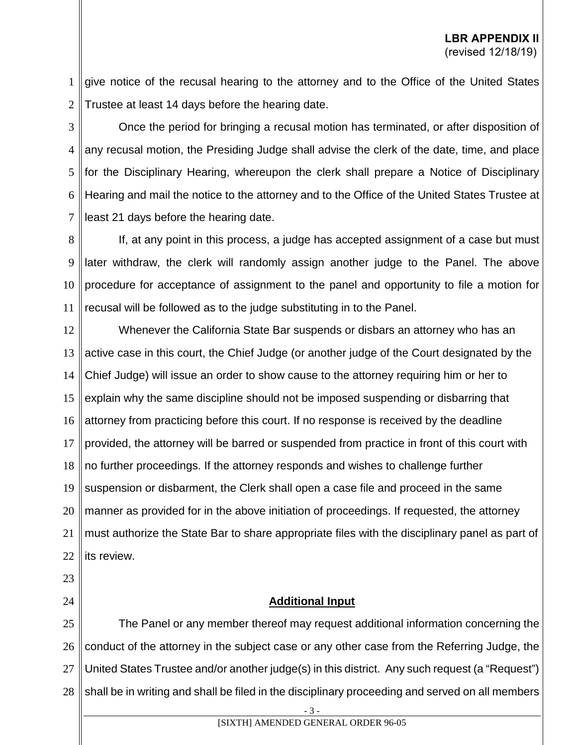1 2 give notice of the recusal hearing to the attorney and to the Office of the United States Trustee at least 14 days before the hearing date.

3 4 5 6 7 Once the period for bringing a recusal motion has terminated, or after disposition of any recusal motion, the Presiding Judge shall advise the clerk of the date, time, and place for the Disciplinary Hearing, whereupon the clerk shall prepare a Notice of Disciplinary Hearing and mail the notice to the attorney and to the Office of the United States Trustee at least 21 days before the hearing date.

8 9 10 11 If, at any point in this process, a judge has accepted assignment of a case but must later withdraw, the clerk will randomly assign another judge to the Panel. The above procedure for acceptance of assignment to the panel and opportunity to file a motion for recusal will be followed as to the judge substituting in to the Panel.

12 13 14 15 16 17 18 19 20 21 22 Whenever the California State Bar suspends or disbars an attorney who has an active case in this court, the Chief Judge (or another judge of the Court designated by the Chief Judge) will issue an order to show cause to the attorney requiring him or her to explain why the same discipline should not be imposed suspending or disbarring that attorney from practicing before this court. If no response is received by the deadline provided, the attorney will be barred or suspended from practice in front of this court with no further proceedings. If the attorney responds and wishes to challenge further suspension or disbarment, the Clerk shall open a case file and proceed in the same manner as provided for in the above initiation of proceedings. If requested, the attorney must authorize the State Bar to share appropriate files with the disciplinary panel as part of its review.

23

#### 24

# **Additional Input**

25 26 27 28 The Panel or any member thereof may request additional information concerning the conduct of the attorney in the subject case or any other case from the Referring Judge, the United States Trustee and/or another judge(s) in this district. Any such request (a "Request") shall be in writing and shall be filed in the disciplinary proceeding and served on all members

- 3 -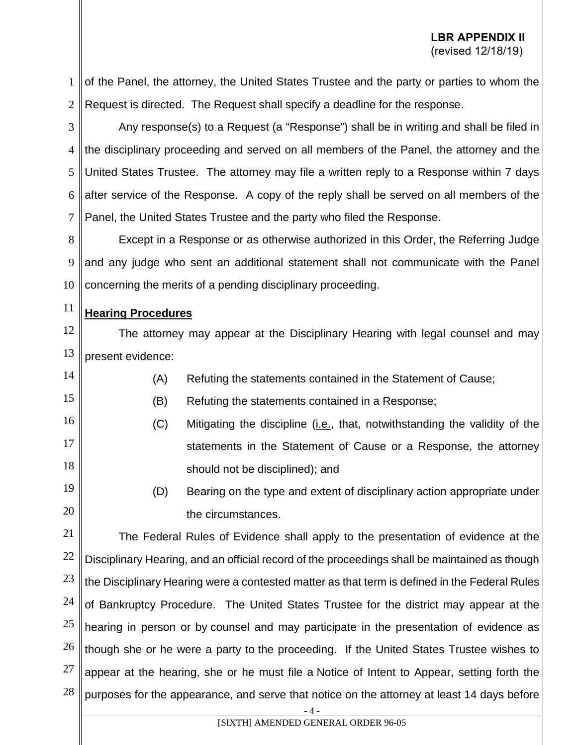1 2 of the Panel, the attorney, the United States Trustee and the party or parties to whom the Request is directed. The Request shall specify a deadline for the response.

3 4 5 6 7 Any response(s) to a Request (a "Response") shall be in writing and shall be filed in the disciplinary proceeding and served on all members of the Panel, the attorney and the United States Trustee. The attorney may file a written reply to a Response within 7 days after service of the Response. A copy of the reply shall be served on all members of the Panel, the United States Trustee and the party who filed the Response.

8 9 10 Except in a Response or as otherwise authorized in this Order, the Referring Judge and any judge who sent an additional statement shall not communicate with the Panel concerning the merits of a pending disciplinary proceeding.

#### 11 **Hearing Procedures**

15

19

20

12 13 The attorney may appear at the Disciplinary Hearing with legal counsel and may present evidence:

- 14 (A) Refuting the statements contained in the Statement of Cause;
	- (B) Refuting the statements contained in a Response;
- 16 17 18 (C) Mitigating the discipline (i.e., that, notwithstanding the validity of the statements in the Statement of Cause or a Response, the attorney should not be disciplined); and
	- (D) Bearing on the type and extent of disciplinary action appropriate under the circumstances.

21 22 23 24 25 26 27 28 The Federal Rules of Evidence shall apply to the presentation of evidence at the Disciplinary Hearing, and an official record of the proceedings shall be maintained as though the Disciplinary Hearing were a contested matter as that term is defined in the Federal Rules of Bankruptcy Procedure. The United States Trustee for the district may appear at the hearing in person or by counsel and may participate in the presentation of evidence as though she or he were a party to the proceeding. If the United States Trustee wishes to appear at the hearing, she or he must file a Notice of Intent to Appear, setting forth the purposes for the appearance, and serve that notice on the attorney at least 14 days before

- 4 -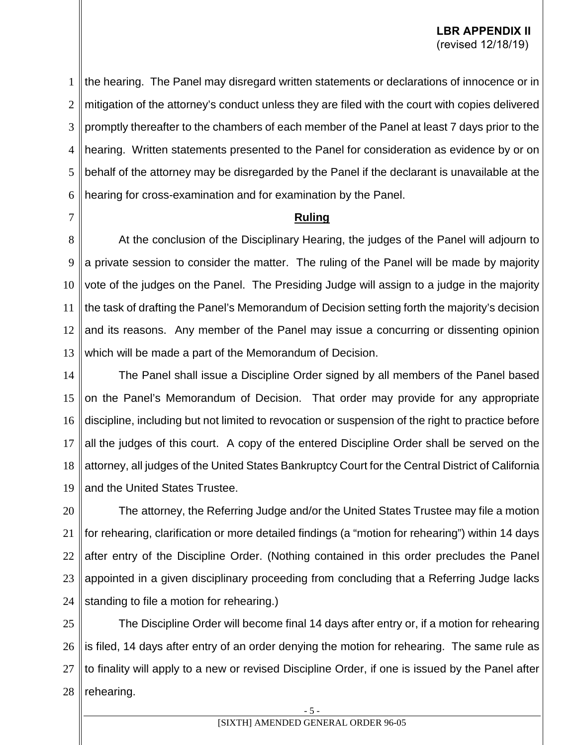1 2 3 4 5 6 the hearing. The Panel may disregard written statements or declarations of innocence or in mitigation of the attorney's conduct unless they are filed with the court with copies delivered promptly thereafter to the chambers of each member of the Panel at least 7 days prior to the hearing. Written statements presented to the Panel for consideration as evidence by or on behalf of the attorney may be disregarded by the Panel if the declarant is unavailable at the hearing for cross-examination and for examination by the Panel.

7

# **Ruling**

8 9 10 11 12 13 At the conclusion of the Disciplinary Hearing, the judges of the Panel will adjourn to a private session to consider the matter. The ruling of the Panel will be made by majority vote of the judges on the Panel. The Presiding Judge will assign to a judge in the majority the task of drafting the Panel's Memorandum of Decision setting forth the majority's decision and its reasons. Any member of the Panel may issue a concurring or dissenting opinion which will be made a part of the Memorandum of Decision.

14 15 16 17 18 19 The Panel shall issue a Discipline Order signed by all members of the Panel based on the Panel's Memorandum of Decision. That order may provide for any appropriate discipline, including but not limited to revocation or suspension of the right to practice before all the judges of this court. A copy of the entered Discipline Order shall be served on the attorney, all judges of the United States Bankruptcy Court for the Central District of California and the United States Trustee.

20 21 22 23 24 The attorney, the Referring Judge and/or the United States Trustee may file a motion for rehearing, clarification or more detailed findings (a "motion for rehearing") within 14 days after entry of the Discipline Order. (Nothing contained in this order precludes the Panel appointed in a given disciplinary proceeding from concluding that a Referring Judge lacks standing to file a motion for rehearing.)

25 26 27 28 The Discipline Order will become final 14 days after entry or, if a motion for rehearing is filed, 14 days after entry of an order denying the motion for rehearing. The same rule as to finality will apply to a new or revised Discipline Order, if one is issued by the Panel after rehearing.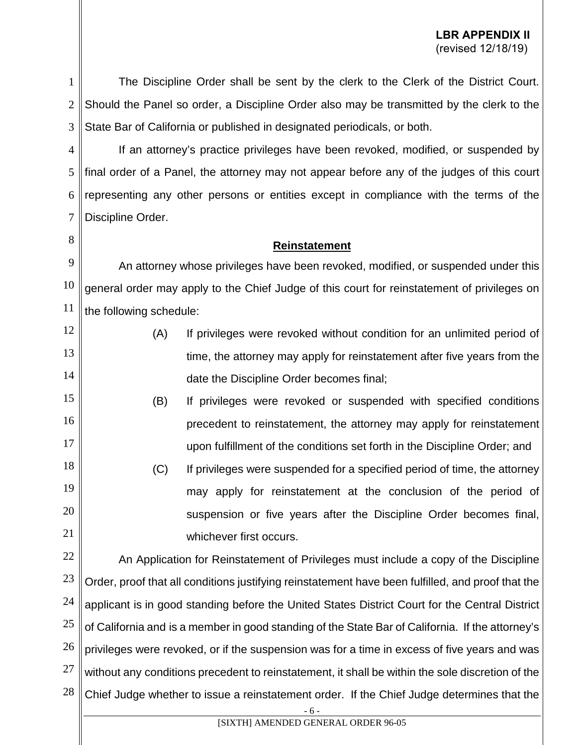1 2 3 The Discipline Order shall be sent by the clerk to the Clerk of the District Court. Should the Panel so order, a Discipline Order also may be transmitted by the clerk to the State Bar of California or published in designated periodicals, or both.

4 5 6 7 If an attorney's practice privileges have been revoked, modified, or suspended by final order of a Panel, the attorney may not appear before any of the judges of this court representing any other persons or entities except in compliance with the terms of the Discipline Order.

8

15

16

17

# **Reinstatement**

9 10 11 An attorney whose privileges have been revoked, modified, or suspended under this general order may apply to the Chief Judge of this court for reinstatement of privileges on the following schedule:

- 12 13 14 (A) If privileges were revoked without condition for an unlimited period of time, the attorney may apply for reinstatement after five years from the date the Discipline Order becomes final;
	- (B) If privileges were revoked or suspended with specified conditions precedent to reinstatement, the attorney may apply for reinstatement upon fulfillment of the conditions set forth in the Discipline Order; and
- 18 19 20 21 (C) If privileges were suspended for a specified period of time, the attorney may apply for reinstatement at the conclusion of the period of suspension or five years after the Discipline Order becomes final, whichever first occurs.

22 23 24 25 26 27 28 An Application for Reinstatement of Privileges must include a copy of the Discipline Order, proof that all conditions justifying reinstatement have been fulfilled, and proof that the applicant is in good standing before the United States District Court for the Central District of California and is a member in good standing of the State Bar of California. If the attorney's privileges were revoked, or if the suspension was for a time in excess of five years and was without any conditions precedent to reinstatement, it shall be within the sole discretion of the Chief Judge whether to issue a reinstatement order. If the Chief Judge determines that the

- 6 -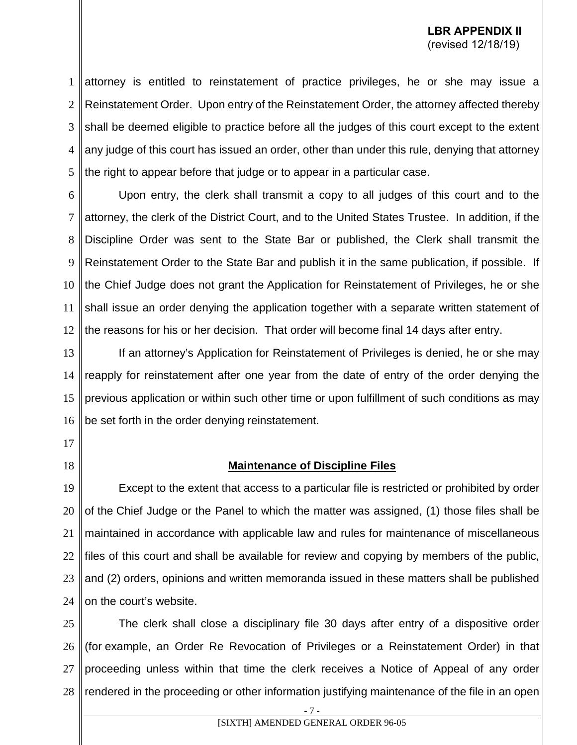1 2 3 4 5 attorney is entitled to reinstatement of practice privileges, he or she may issue a Reinstatement Order. Upon entry of the Reinstatement Order, the attorney affected thereby shall be deemed eligible to practice before all the judges of this court except to the extent any judge of this court has issued an order, other than under this rule, denying that attorney the right to appear before that judge or to appear in a particular case.

6 7 8 9 10 11 12 Upon entry, the clerk shall transmit a copy to all judges of this court and to the attorney, the clerk of the District Court, and to the United States Trustee. In addition, if the Discipline Order was sent to the State Bar or published, the Clerk shall transmit the Reinstatement Order to the State Bar and publish it in the same publication, if possible. If the Chief Judge does not grant the Application for Reinstatement of Privileges, he or she shall issue an order denying the application together with a separate written statement of the reasons for his or her decision. That order will become final 14 days after entry.

13 14 15 16 If an attorney's Application for Reinstatement of Privileges is denied, he or she may reapply for reinstatement after one year from the date of entry of the order denying the previous application or within such other time or upon fulfillment of such conditions as may be set forth in the order denying reinstatement.

17

18

#### **Maintenance of Discipline Files**

19 20 21 22 23 24 Except to the extent that access to a particular file is restricted or prohibited by order of the Chief Judge or the Panel to which the matter was assigned, (1) those files shall be maintained in accordance with applicable law and rules for maintenance of miscellaneous files of this court and shall be available for review and copying by members of the public, and (2) orders, opinions and written memoranda issued in these matters shall be published on the court's website.

25 26 27 28 The clerk shall close a disciplinary file 30 days after entry of a dispositive order (for example, an Order Re Revocation of Privileges or a Reinstatement Order) in that proceeding unless within that time the clerk receives a Notice of Appeal of any order rendered in the proceeding or other information justifying maintenance of the file in an open

- 7 -